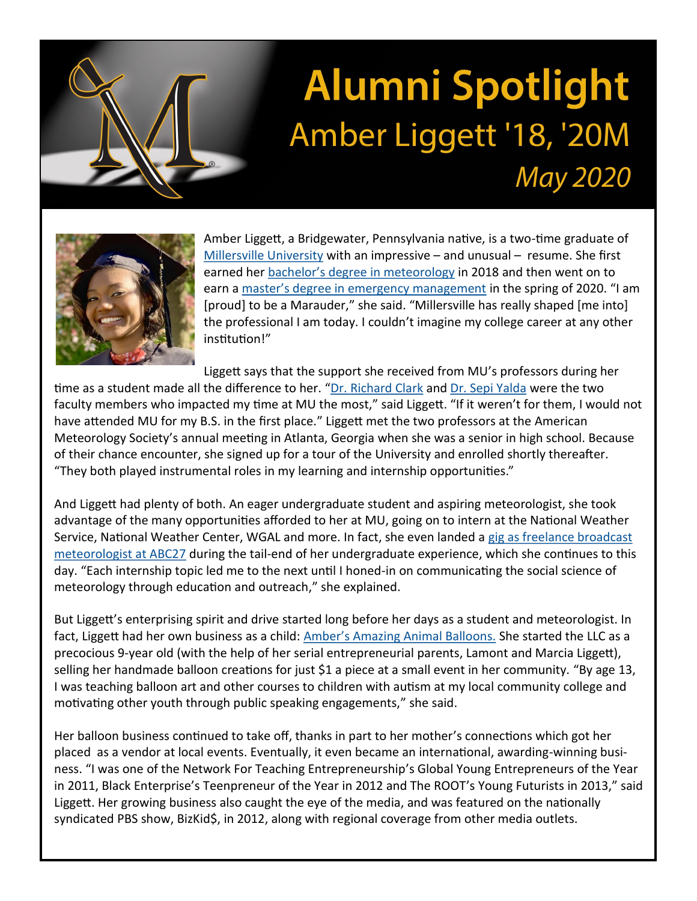

## **Alumni Spotlight** Amber Liggett '18, '20M **May 2020**



Amber Liggett, a Bridgewater, Pennsylvania native, is a two-time graduate of [Millersville University](https://www.millersville.edu/) with an impressive – and unusual – resume. She first earned her bachelor'[s degree in meteorology](https://www.millersville.edu/esci/meteorology/index.php) in 2018 and then went on to earn a master'[s degree in emergency management](https://www.millersville.edu/cdre/msem/) in the spring of 2020. "I am [proud] to be a Marauder," she said. "Millersville has really shaped [me into] the professional I am today. I couldn't imagine my college career at any other institution!"

Liggett says that the support she received from MU's professors during her time as a student made all the difference to her. "[Dr. Richard Clark](https://www.millersville.edu/cdre/cdre-faculty-staff/clark-richard.php) and [Dr. Sepi Yalda](https://www.millersville.edu/esci/facultypages/s-yalda.php) were the two faculty members who impacted my time at MU the most," said Liggett. "If it weren't for them, I would not have attended MU for my B.S. in the first place." Liggett met the two professors at the American Meteorology Society's annual meeting in Atlanta, Georgia when she was a senior in high school. Because of their chance encounter, she signed up for a tour of the University and enrolled shortly thereafter. "They both played instrumental roles in my learning and internship opportunities."

And Liggett had plenty of both. An eager undergraduate student and aspiring meteorologist, she took advantage of the many opportunities afforded to her at MU, going on to intern at the National Weather Service, National Weather Center, WGAL and more. In fact, she even landed a gig as freelance broadcast [meteorologist at ABC27](https://www.facebook.com/pg/amberliggettwx/about/) during the tail-end of her undergraduate experience, which she continues to this day. "Each internship topic led me to the next until I honed-in on communicating the social science of meteorology through education and outreach," she explained.

But Liggett's enterprising spirit and drive started long before her days as a student and meteorologist. In fact, Liggett had her own business as a child: Amber'[s Amazing Animal Balloons.](http://www.ambersballoons.com/) She started the LLC as a precocious 9-year old (with the help of her serial entrepreneurial parents, Lamont and Marcia Liggett), selling her handmade balloon creations for just \$1 a piece at a small event in her community. "By age 13, I was teaching balloon art and other courses to children with autism at my local community college and motivating other youth through public speaking engagements," she said.

Her balloon business continued to take off, thanks in part to her mother's connections which got her placed as a vendor at local events. Eventually, it even became an international, awarding-winning business. "I was one of the Network For Teaching Entrepreneurship's Global Young Entrepreneurs of the Year in 2011, Black Enterprise's Teenpreneur of the Year in 2012 and The ROOT's Young Futurists in 2013," said Liggett. Her growing business also caught the eye of the media, and was featured on the nationally syndicated PBS show, BizKid\$, in 2012, along with regional coverage from other media outlets.